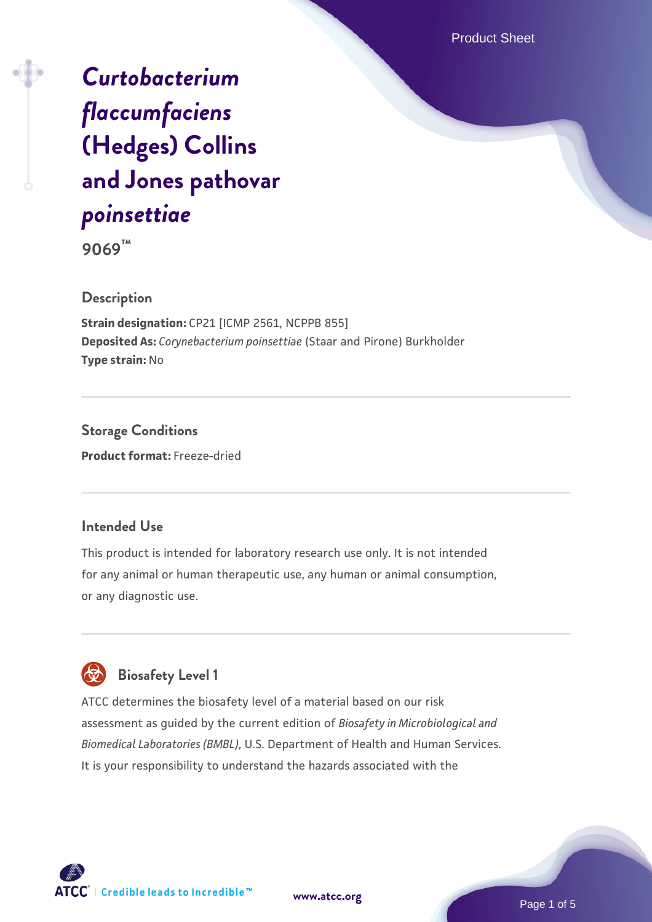Product Sheet

# *[Curtobacterium](https://www.atcc.org/products/9069) [flaccumfaciens](https://www.atcc.org/products/9069)* **[\(Hedges\) Collins](https://www.atcc.org/products/9069) [and Jones pathovar](https://www.atcc.org/products/9069)** *[poinsettiae](https://www.atcc.org/products/9069)*

**9069™**

#### **Description**

**Strain designation:** CP21 [ICMP 2561, NCPPB 855] **Deposited As:** *Corynebacterium poinsettiae* (Staar and Pirone) Burkholder **Type strain:** No

**Storage Conditions Product format:** Freeze-dried

#### **Intended Use**

This product is intended for laboratory research use only. It is not intended for any animal or human therapeutic use, any human or animal consumption, or any diagnostic use.



ATCC determines the biosafety level of a material based on our risk assessment as guided by the current edition of *Biosafety in Microbiological and Biomedical Laboratories (BMBL)*, U.S. Department of Health and Human Services. It is your responsibility to understand the hazards associated with the



**[www.atcc.org](http://www.atcc.org)**

Page 1 of 5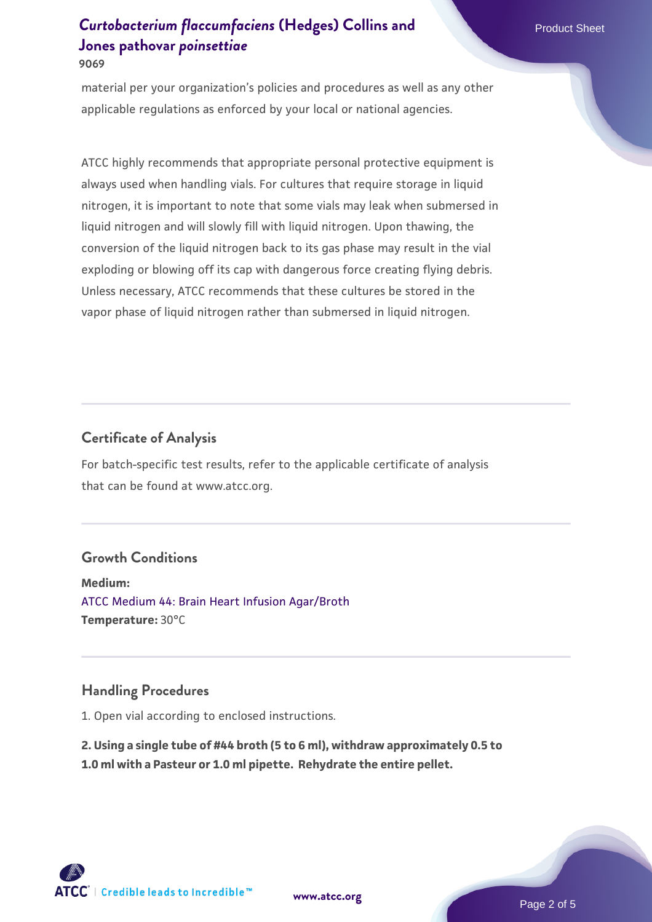material per your organization's policies and procedures as well as any other applicable regulations as enforced by your local or national agencies.

ATCC highly recommends that appropriate personal protective equipment is always used when handling vials. For cultures that require storage in liquid nitrogen, it is important to note that some vials may leak when submersed in liquid nitrogen and will slowly fill with liquid nitrogen. Upon thawing, the conversion of the liquid nitrogen back to its gas phase may result in the vial exploding or blowing off its cap with dangerous force creating flying debris. Unless necessary, ATCC recommends that these cultures be stored in the vapor phase of liquid nitrogen rather than submersed in liquid nitrogen.

#### **Certificate of Analysis**

For batch-specific test results, refer to the applicable certificate of analysis that can be found at www.atcc.org.

#### **Growth Conditions**

**Medium:**  [ATCC Medium 44: Brain Heart Infusion Agar/Broth](https://www.atcc.org/-/media/product-assets/documents/microbial-media-formulations/4/4/atcc-medium-44.pdf?rev=ce06ac4e5438493b896cd46c7d875629) **Temperature:** 30°C

#### **Handling Procedures**

1. Open vial according to enclosed instructions.

**2. Using a single tube of #44 broth (5 to 6 ml), withdraw approximately 0.5 to 1.0 ml with a Pasteur or 1.0 ml pipette. Rehydrate the entire pellet.**

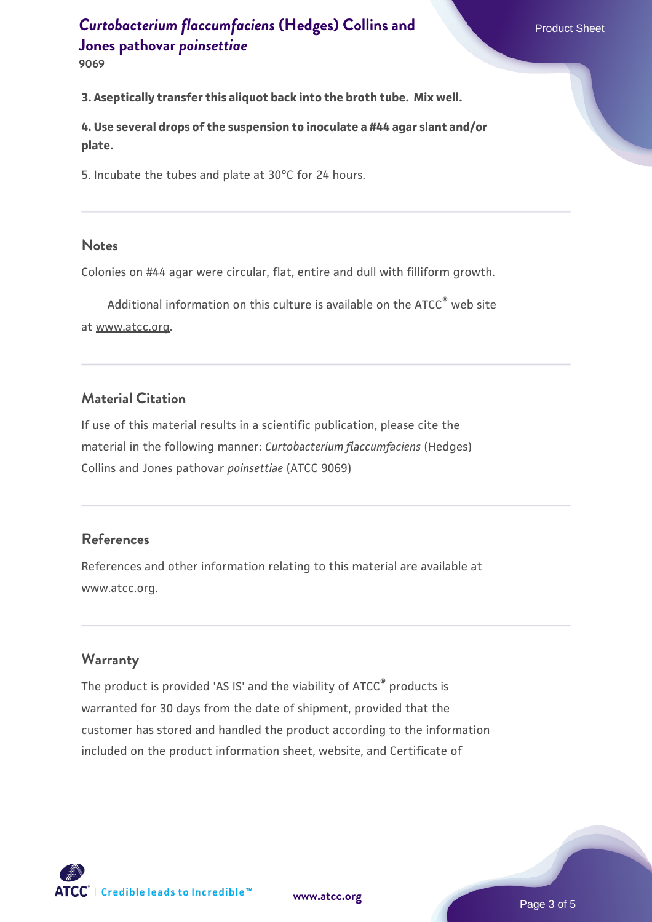**9069**

**3. Aseptically transfer this aliquot back into the broth tube. Mix well.**

**4. Use several drops of the suspension to inoculate a #44 agar slant and/or plate.**

5. Incubate the tubes and plate at 30°C for 24 hours.

#### **Notes**

Colonies on #44 agar were circular, flat, entire and dull with filliform growth.

Additional information on this culture is available on the ATCC<sup>®</sup> web site at www.atcc.org.

#### **Material Citation**

If use of this material results in a scientific publication, please cite the material in the following manner: *Curtobacterium flaccumfaciens* (Hedges) Collins and Jones pathovar *poinsettiae* (ATCC 9069)

#### **References**

References and other information relating to this material are available at www.atcc.org.

#### **Warranty**

The product is provided 'AS IS' and the viability of ATCC® products is warranted for 30 days from the date of shipment, provided that the customer has stored and handled the product according to the information included on the product information sheet, website, and Certificate of

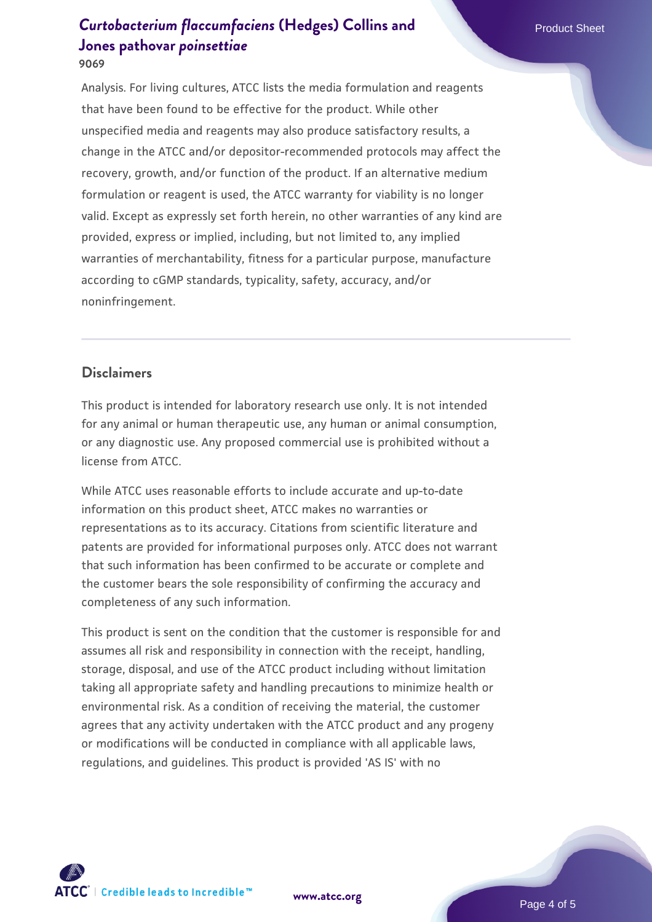Analysis. For living cultures, ATCC lists the media formulation and reagents that have been found to be effective for the product. While other unspecified media and reagents may also produce satisfactory results, a change in the ATCC and/or depositor-recommended protocols may affect the recovery, growth, and/or function of the product. If an alternative medium formulation or reagent is used, the ATCC warranty for viability is no longer valid. Except as expressly set forth herein, no other warranties of any kind are provided, express or implied, including, but not limited to, any implied warranties of merchantability, fitness for a particular purpose, manufacture according to cGMP standards, typicality, safety, accuracy, and/or noninfringement.

#### **Disclaimers**

This product is intended for laboratory research use only. It is not intended for any animal or human therapeutic use, any human or animal consumption, or any diagnostic use. Any proposed commercial use is prohibited without a license from ATCC.

While ATCC uses reasonable efforts to include accurate and up-to-date information on this product sheet, ATCC makes no warranties or representations as to its accuracy. Citations from scientific literature and patents are provided for informational purposes only. ATCC does not warrant that such information has been confirmed to be accurate or complete and the customer bears the sole responsibility of confirming the accuracy and completeness of any such information.

This product is sent on the condition that the customer is responsible for and assumes all risk and responsibility in connection with the receipt, handling, storage, disposal, and use of the ATCC product including without limitation taking all appropriate safety and handling precautions to minimize health or environmental risk. As a condition of receiving the material, the customer agrees that any activity undertaken with the ATCC product and any progeny or modifications will be conducted in compliance with all applicable laws, regulations, and guidelines. This product is provided 'AS IS' with no